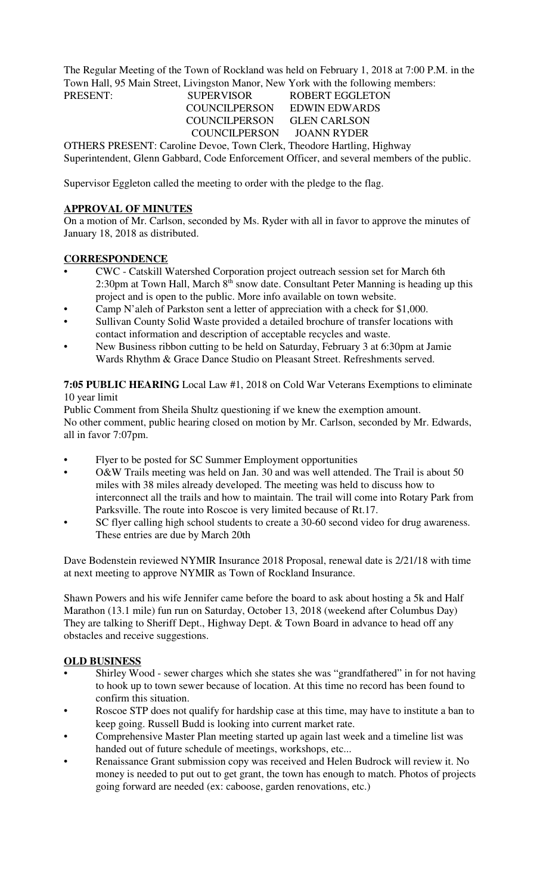The Regular Meeting of the Town of Rockland was held on February 1, 2018 at 7:00 P.M. in the Town Hall, 95 Main Street, Livingston Manor, New York with the following members:

# PRESENT: SUPERVISOR ROBERT EGGLETON COUNCILPERSON GLEN CARLSON COUNCILPERSON JOANN RYDER

COUNCILPERSON EDWIN EDWARDS

OTHERS PRESENT: Caroline Devoe, Town Clerk, Theodore Hartling, Highway Superintendent, Glenn Gabbard, Code Enforcement Officer, and several members of the public.

Supervisor Eggleton called the meeting to order with the pledge to the flag.

## **APPROVAL OF MINUTES**

On a motion of Mr. Carlson, seconded by Ms. Ryder with all in favor to approve the minutes of January 18, 2018 as distributed.

## **CORRESPONDENCE**

- CWC Catskill Watershed Corporation project outreach session set for March 6th 2:30pm at Town Hall, March  $8<sup>th</sup>$  snow date. Consultant Peter Manning is heading up this project and is open to the public. More info available on town website.
- Camp N'aleh of Parkston sent a letter of appreciation with a check for \$1,000.
- Sullivan County Solid Waste provided a detailed brochure of transfer locations with contact information and description of acceptable recycles and waste.
- New Business ribbon cutting to be held on Saturday, February 3 at 6:30pm at Jamie Wards Rhythm & Grace Dance Studio on Pleasant Street. Refreshments served.

## **7:05 PUBLIC HEARING** Local Law #1, 2018 on Cold War Veterans Exemptions to eliminate 10 year limit

Public Comment from Sheila Shultz questioning if we knew the exemption amount. No other comment, public hearing closed on motion by Mr. Carlson, seconded by Mr. Edwards, all in favor 7:07pm.

- Flyer to be posted for SC Summer Employment opportunities
- O&W Trails meeting was held on Jan. 30 and was well attended. The Trail is about 50 miles with 38 miles already developed. The meeting was held to discuss how to interconnect all the trails and how to maintain. The trail will come into Rotary Park from Parksville. The route into Roscoe is very limited because of Rt.17.
- SC flyer calling high school students to create a 30-60 second video for drug awareness. These entries are due by March 20th

Dave Bodenstein reviewed NYMIR Insurance 2018 Proposal, renewal date is 2/21/18 with time at next meeting to approve NYMIR as Town of Rockland Insurance.

Shawn Powers and his wife Jennifer came before the board to ask about hosting a 5k and Half Marathon (13.1 mile) fun run on Saturday, October 13, 2018 (weekend after Columbus Day) They are talking to Sheriff Dept., Highway Dept. & Town Board in advance to head off any obstacles and receive suggestions.

#### **OLD BUSINESS**

- Shirley Wood sewer charges which she states she was "grandfathered" in for not having to hook up to town sewer because of location. At this time no record has been found to confirm this situation.
- Roscoe STP does not qualify for hardship case at this time, may have to institute a ban to keep going. Russell Budd is looking into current market rate.
- Comprehensive Master Plan meeting started up again last week and a timeline list was handed out of future schedule of meetings, workshops, etc...
- Renaissance Grant submission copy was received and Helen Budrock will review it. No money is needed to put out to get grant, the town has enough to match. Photos of projects going forward are needed (ex: caboose, garden renovations, etc.)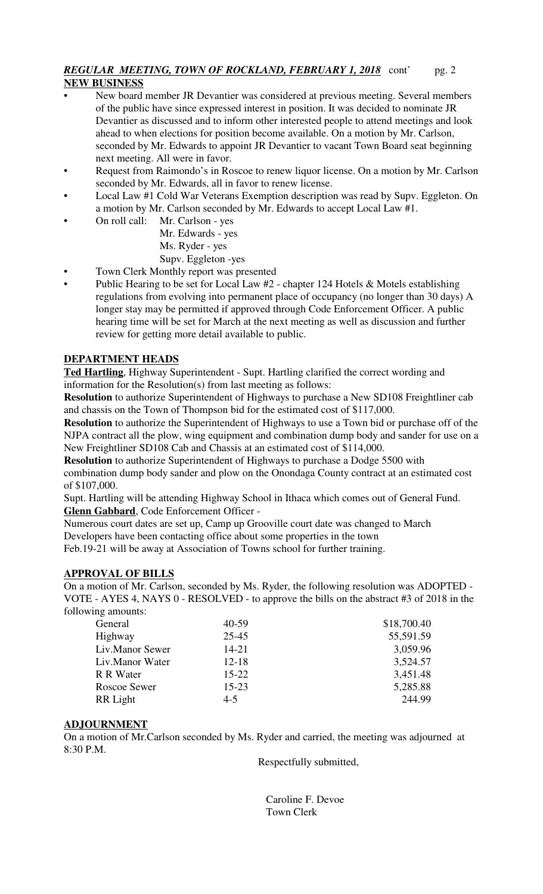## *REGULAR MEETING, TOWN OF ROCKLAND, FEBRUARY 1, 2018* cont' pg. 2 **NEW BUSINESS**

- New board member JR Devantier was considered at previous meeting. Several members of the public have since expressed interest in position. It was decided to nominate JR Devantier as discussed and to inform other interested people to attend meetings and look ahead to when elections for position become available. On a motion by Mr. Carlson, seconded by Mr. Edwards to appoint JR Devantier to vacant Town Board seat beginning next meeting. All were in favor.
- Request from Raimondo's in Roscoe to renew liquor license. On a motion by Mr. Carlson seconded by Mr. Edwards, all in favor to renew license.
- Local Law #1 Cold War Veterans Exemption description was read by Supv. Eggleton. On a motion by Mr. Carlson seconded by Mr. Edwards to accept Local Law #1.
	- On roll call: Mr. Carlson yes Mr. Edwards - yes Ms. Ryder - yes

Supv. Eggleton -yes

- Town Clerk Monthly report was presented
- Public Hearing to be set for Local Law  $#2$  chapter 124 Hotels & Motels establishing regulations from evolving into permanent place of occupancy (no longer than 30 days) A longer stay may be permitted if approved through Code Enforcement Officer. A public hearing time will be set for March at the next meeting as well as discussion and further review for getting more detail available to public.

# **DEPARTMENT HEADS**

**Ted Hartling**, Highway Superintendent - Supt. Hartling clarified the correct wording and information for the Resolution(s) from last meeting as follows:

**Resolution** to authorize Superintendent of Highways to purchase a New SD108 Freightliner cab and chassis on the Town of Thompson bid for the estimated cost of \$117,000.

**Resolution** to authorize the Superintendent of Highways to use a Town bid or purchase off of the NJPA contract all the plow, wing equipment and combination dump body and sander for use on a New Freightliner SD108 Cab and Chassis at an estimated cost of \$114,000.

**Resolution** to authorize Superintendent of Highways to purchase a Dodge 5500 with combination dump body sander and plow on the Onondaga County contract at an estimated cost of \$107,000.

Supt. Hartling will be attending Highway School in Ithaca which comes out of General Fund. **Glenn Gabbard**, Code Enforcement Officer -

Numerous court dates are set up, Camp up Grooville court date was changed to March Developers have been contacting office about some properties in the town

Feb.19-21 will be away at Association of Towns school for further training.

# **APPROVAL OF BILLS**

On a motion of Mr. Carlson, seconded by Ms. Ryder, the following resolution was ADOPTED - VOTE - AYES 4, NAYS 0 - RESOLVED - to approve the bills on the abstract #3 of 2018 in the following amounts:

| General         | $40 - 59$ | \$18,700.40 |
|-----------------|-----------|-------------|
| Highway         | $25 - 45$ | 55,591.59   |
| Liv.Manor Sewer | $14 - 21$ | 3,059.96    |
| Liv.Manor Water | $12 - 18$ | 3,524.57    |
| R R Water       | $15 - 22$ | 3,451.48    |
| Roscoe Sewer    | $15 - 23$ | 5,285.88    |
| RR Light        | $4 - 5$   | 244.99      |
|                 |           |             |

# **ADJOURNMENT**

On a motion of Mr.Carlson seconded by Ms. Ryder and carried, the meeting was adjourned at 8:30 P.M.

Respectfully submitted,

 Caroline F. Devoe Town Clerk